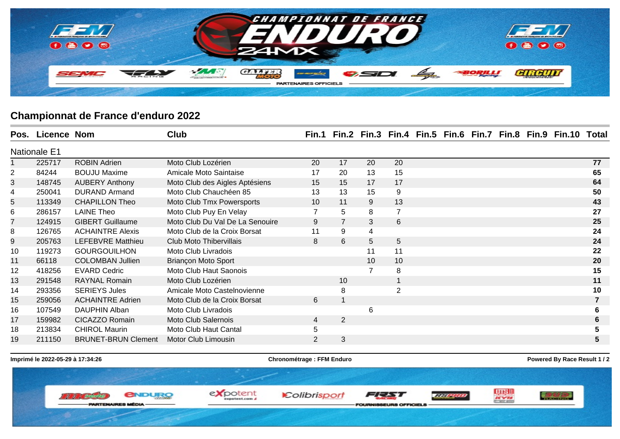

## **Championnat de France d'enduro 2022**

|                | Pos. Licence Nom    |                            | <b>Club</b>                     |                 |                |                 |                         |  |  | Fin.1 Fin.2 Fin.3 Fin.4 Fin.5 Fin.6 Fin.7 Fin.8 Fin.9 Fin.10 | Total |
|----------------|---------------------|----------------------------|---------------------------------|-----------------|----------------|-----------------|-------------------------|--|--|--------------------------------------------------------------|-------|
|                | <b>Nationale E1</b> |                            |                                 |                 |                |                 |                         |  |  |                                                              |       |
|                | 225717              | <b>ROBIN Adrien</b>        | Moto Club Lozérien              | 20              | 17             | 20              | 20                      |  |  |                                                              | 77    |
| $\overline{c}$ | 84244               | <b>BOUJU Maxime</b>        | Amicale Moto Saintaise          | 17              | 20             | 13              | 15                      |  |  |                                                              | 65    |
| 3              | 148745              | <b>AUBERY Anthony</b>      | Moto Club des Aigles Aptésiens  | 15              | 15             | 17              | 17                      |  |  |                                                              | 64    |
| 4              | 250041              | <b>DURAND Armand</b>       | Moto Club Chauchéen 85          | 13              | 13             | 15              | 9                       |  |  |                                                              | 50    |
| 5              | 113349              | <b>CHAPILLON Theo</b>      | Moto Club Tmx Powersports       | 10 <sup>°</sup> | 11             | 9               | 13                      |  |  |                                                              | 43    |
| 6              | 286157              | <b>LAINE Theo</b>          | Moto Club Puy En Velay          | $\overline{7}$  | 5              | 8               | $\overline{7}$          |  |  |                                                              | 27    |
| 7              | 124915              | <b>GIBERT Guillaume</b>    | Moto Club Du Val De La Senouire | 9               | $\overline{7}$ | 3               | $6\phantom{1}$          |  |  |                                                              | 25    |
| 8              | 126765              | <b>ACHAINTRE Alexis</b>    | Moto Club de la Croix Borsat    | 11              | 9              | 4               |                         |  |  |                                                              | 24    |
| 9              | 205763              | <b>LEFEBVRE Matthieu</b>   | Club Moto Thibervillais         | 8               | 6              | 5               | 5                       |  |  |                                                              | 24    |
| 10             | 119273              | <b>GOURGOUILHON</b>        | Moto Club Livradois             |                 |                | 11              | 11                      |  |  |                                                              | 22    |
| 11             | 66118               | <b>COLOMBAN Jullien</b>    | <b>Briançon Moto Sport</b>      |                 |                | 10 <sup>°</sup> | 10                      |  |  |                                                              | 20    |
| 12             | 418256              | <b>EVARD Cedric</b>        | Moto Club Haut Saonois          |                 |                |                 | 8                       |  |  |                                                              | 15    |
| 13             | 291548              | <b>RAYNAL Romain</b>       | Moto Club Lozérien              |                 | 10             |                 | $\overline{\mathbf{1}}$ |  |  |                                                              | 11    |
| 14             | 293356              | <b>SERIEYS Jules</b>       | Amicale Moto Castelnovienne     |                 | 8              |                 | $\overline{2}$          |  |  |                                                              | 10    |
| 15             | 259056              | <b>ACHAINTRE Adrien</b>    | Moto Club de la Croix Borsat    | 6               | -1             |                 |                         |  |  |                                                              |       |
| 16             | 107549              | DAUPHIN Alban              | Moto Club Livradois             |                 |                | 6               |                         |  |  |                                                              |       |
| 17             | 159982              | CICAZZO Romain             | <b>Moto Club Salernois</b>      | 4               | 2              |                 |                         |  |  |                                                              |       |
| 18             | 213834              | <b>CHIROL Maurin</b>       | Moto Club Haut Cantal           | 5               |                |                 |                         |  |  |                                                              |       |
| 19             | 211150              | <b>BRUNET-BRUN Clement</b> | Motor Club Limousin             | 2               | 3              |                 |                         |  |  |                                                              | 5     |
|                |                     |                            |                                 |                 |                |                 |                         |  |  |                                                              |       |

**Imprimé le 2022-05-29 à 17:34:26 Chronométrage : FFM Enduro Powered By Race Result 1 / 2**